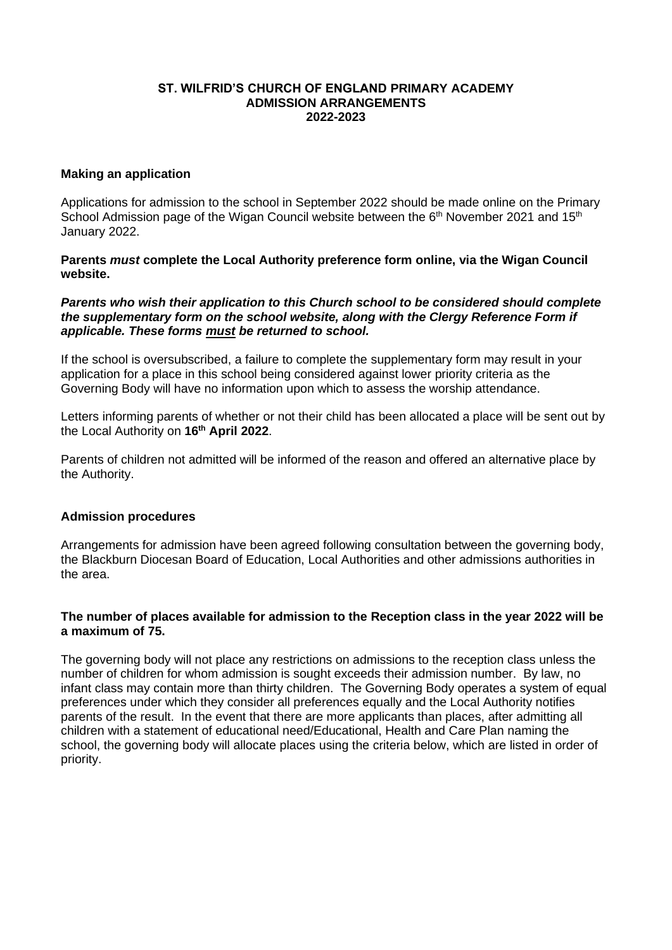## **ST. WILFRID'S CHURCH OF ENGLAND PRIMARY ACADEMY ADMISSION ARRANGEMENTS 2022-2023**

### **Making an application**

Applications for admission to the school in September 2022 should be made online on the Primary School Admission page of the Wigan Council website between the 6<sup>th</sup> November 2021 and 15<sup>th</sup> January 2022.

**Parents** *must* **complete the Local Authority preference form online, via the Wigan Council website.** 

#### *Parents who wish their application to this Church school to be considered should complete the supplementary form on the school website, along with the Clergy Reference Form if applicable. These forms must be returned to school.*

If the school is oversubscribed, a failure to complete the supplementary form may result in your application for a place in this school being considered against lower priority criteria as the Governing Body will have no information upon which to assess the worship attendance.

Letters informing parents of whether or not their child has been allocated a place will be sent out by the Local Authority on **16th April 2022**.

Parents of children not admitted will be informed of the reason and offered an alternative place by the Authority.

#### **Admission procedures**

Arrangements for admission have been agreed following consultation between the governing body, the Blackburn Diocesan Board of Education, Local Authorities and other admissions authorities in the area.

# **The number of places available for admission to the Reception class in the year 2022 will be a maximum of 75.**

The governing body will not place any restrictions on admissions to the reception class unless the number of children for whom admission is sought exceeds their admission number. By law, no infant class may contain more than thirty children. The Governing Body operates a system of equal preferences under which they consider all preferences equally and the Local Authority notifies parents of the result. In the event that there are more applicants than places, after admitting all children with a statement of educational need/Educational, Health and Care Plan naming the school, the governing body will allocate places using the criteria below, which are listed in order of priority.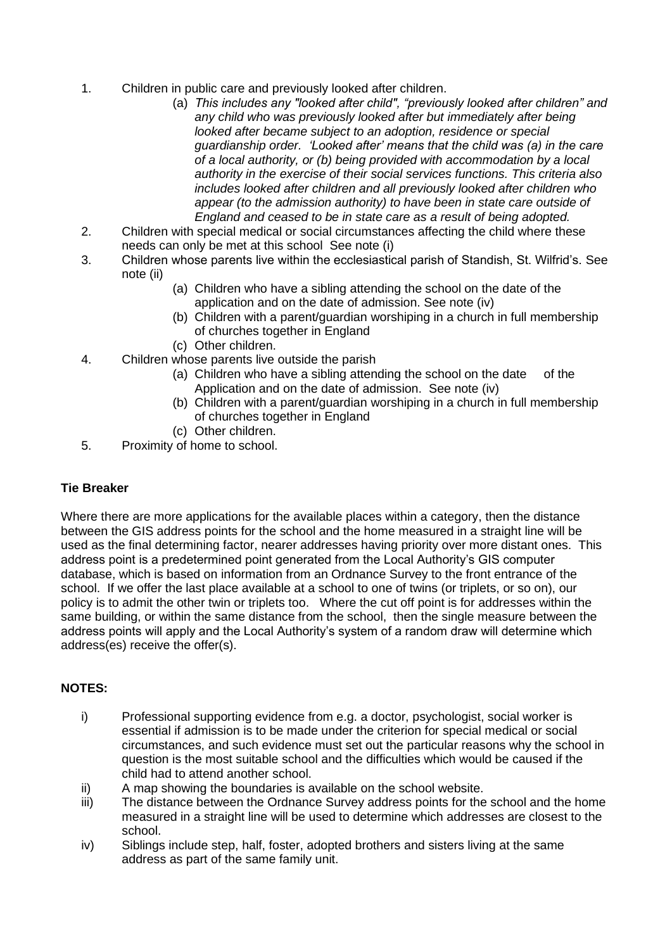- 1. Children in public care and previously looked after children.
	- (a) *This includes any "looked after child", "previously looked after children" and any child who was previously looked after but immediately after being looked after became subject to an adoption, residence or special guardianship order. 'Looked after' means that the child was (a) in the care of a local authority, or (b) being provided with accommodation by a local authority in the exercise of their social services functions. This criteria also includes looked after children and all previously looked after children who appear (to the admission authority) to have been in state care outside of England and ceased to be in state care as a result of being adopted.*
- 2. Children with special medical or social circumstances affecting the child where these needs can only be met at this school See note (i)
- 3. Children whose parents live within the ecclesiastical parish of Standish, St. Wilfrid's. See note (ii)
	- (a) Children who have a sibling attending the school on the date of the application and on the date of admission. See note (iv)
	- (b) Children with a parent/guardian worshiping in a church in full membership of churches together in England
	- (c) Other children.
- 4. Children whose parents live outside the parish
	- (a) Children who have a sibling attending the school on the date of the Application and on the date of admission. See note (iv)
	- (b) Children with a parent/guardian worshiping in a church in full membership of churches together in England
	- (c) Other children.
- 5. Proximity of home to school.

# **Tie Breaker**

Where there are more applications for the available places within a category, then the distance between the GIS address points for the school and the home measured in a straight line will be used as the final determining factor, nearer addresses having priority over more distant ones. This address point is a predetermined point generated from the Local Authority's GIS computer database, which is based on information from an Ordnance Survey to the front entrance of the school. If we offer the last place available at a school to one of twins (or triplets, or so on), our policy is to admit the other twin or triplets too. Where the cut off point is for addresses within the same building, or within the same distance from the school, then the single measure between the address points will apply and the Local Authority's system of a random draw will determine which address(es) receive the offer(s).

# **NOTES:**

- i) Professional supporting evidence from e.g. a doctor, psychologist, social worker is essential if admission is to be made under the criterion for special medical or social circumstances, and such evidence must set out the particular reasons why the school in question is the most suitable school and the difficulties which would be caused if the child had to attend another school.
- ii) A map showing the boundaries is available on the school website.
- iii) The distance between the Ordnance Survey address points for the school and the home measured in a straight line will be used to determine which addresses are closest to the school.
- iv) Siblings include step, half, foster, adopted brothers and sisters living at the same address as part of the same family unit.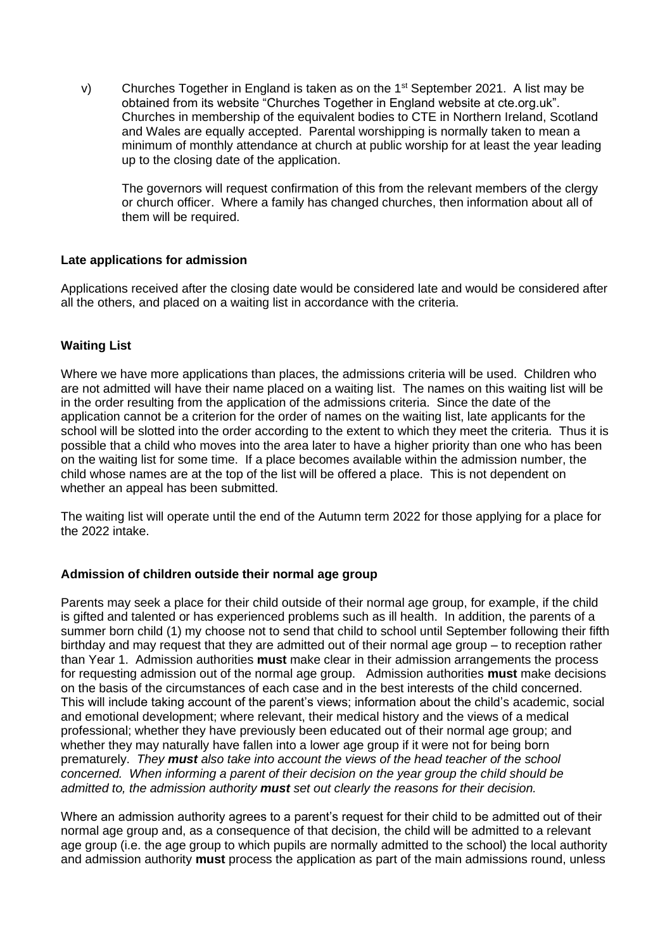v) Churches Together in England is taken as on the  $1<sup>st</sup>$  September 2021. A list may be obtained from its website "Churches Together in England website at cte.org.uk". Churches in membership of the equivalent bodies to CTE in Northern Ireland, Scotland and Wales are equally accepted. Parental worshipping is normally taken to mean a minimum of monthly attendance at church at public worship for at least the year leading up to the closing date of the application.

The governors will request confirmation of this from the relevant members of the clergy or church officer. Where a family has changed churches, then information about all of them will be required.

# **Late applications for admission**

Applications received after the closing date would be considered late and would be considered after all the others, and placed on a waiting list in accordance with the criteria.

# **Waiting List**

Where we have more applications than places, the admissions criteria will be used. Children who are not admitted will have their name placed on a waiting list. The names on this waiting list will be in the order resulting from the application of the admissions criteria. Since the date of the application cannot be a criterion for the order of names on the waiting list, late applicants for the school will be slotted into the order according to the extent to which they meet the criteria. Thus it is possible that a child who moves into the area later to have a higher priority than one who has been on the waiting list for some time. If a place becomes available within the admission number, the child whose names are at the top of the list will be offered a place. This is not dependent on whether an appeal has been submitted.

The waiting list will operate until the end of the Autumn term 2022 for those applying for a place for the 2022 intake.

# **Admission of children outside their normal age group**

Parents may seek a place for their child outside of their normal age group, for example, if the child is gifted and talented or has experienced problems such as ill health. In addition, the parents of a summer born child (1) my choose not to send that child to school until September following their fifth birthday and may request that they are admitted out of their normal age group – to reception rather than Year 1. Admission authorities **must** make clear in their admission arrangements the process for requesting admission out of the normal age group. Admission authorities **must** make decisions on the basis of the circumstances of each case and in the best interests of the child concerned. This will include taking account of the parent's views; information about the child's academic, social and emotional development; where relevant, their medical history and the views of a medical professional; whether they have previously been educated out of their normal age group; and whether they may naturally have fallen into a lower age group if it were not for being born prematurely. *They must also take into account the views of the head teacher of the school concerned. When informing a parent of their decision on the year group the child should be admitted to, the admission authority must set out clearly the reasons for their decision.*

Where an admission authority agrees to a parent's request for their child to be admitted out of their normal age group and, as a consequence of that decision, the child will be admitted to a relevant age group (i.e. the age group to which pupils are normally admitted to the school) the local authority and admission authority **must** process the application as part of the main admissions round, unless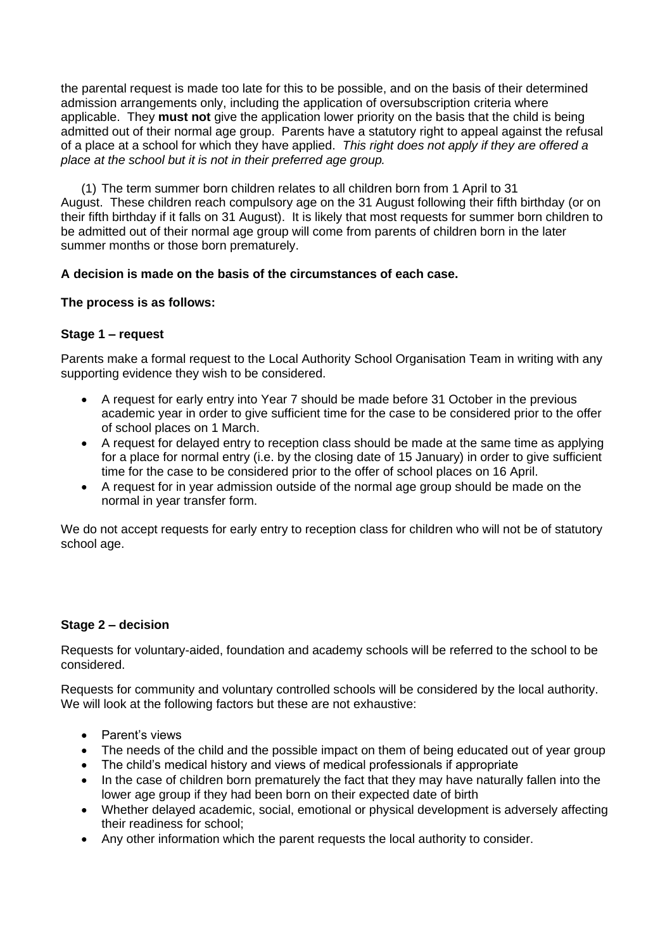the parental request is made too late for this to be possible, and on the basis of their determined admission arrangements only, including the application of oversubscription criteria where applicable. They **must not** give the application lower priority on the basis that the child is being admitted out of their normal age group. Parents have a statutory right to appeal against the refusal of a place at a school for which they have applied. *This right does not apply if they are offered a place at the school but it is not in their preferred age group.* 

(1) The term summer born children relates to all children born from 1 April to 31 August. These children reach compulsory age on the 31 August following their fifth birthday (or on their fifth birthday if it falls on 31 August). It is likely that most requests for summer born children to be admitted out of their normal age group will come from parents of children born in the later summer months or those born prematurely.

# **A decision is made on the basis of the circumstances of each case.**

# **The process is as follows:**

# **Stage 1 – request**

Parents make a formal request to the Local Authority School Organisation Team in writing with any supporting evidence they wish to be considered.

- A request for early entry into Year 7 should be made before 31 October in the previous academic year in order to give sufficient time for the case to be considered prior to the offer of school places on 1 March.
- A request for delayed entry to reception class should be made at the same time as applying for a place for normal entry (i.e. by the closing date of 15 January) in order to give sufficient time for the case to be considered prior to the offer of school places on 16 April.
- A request for in year admission outside of the normal age group should be made on the normal in year transfer form.

We do not accept requests for early entry to reception class for children who will not be of statutory school age.

# **Stage 2 – decision**

Requests for voluntary-aided, foundation and academy schools will be referred to the school to be considered.

Requests for community and voluntary controlled schools will be considered by the local authority. We will look at the following factors but these are not exhaustive:

- Parent's views
- The needs of the child and the possible impact on them of being educated out of year group
- The child's medical history and views of medical professionals if appropriate
- In the case of children born prematurely the fact that they may have naturally fallen into the lower age group if they had been born on their expected date of birth
- Whether delayed academic, social, emotional or physical development is adversely affecting their readiness for school;
- Any other information which the parent requests the local authority to consider.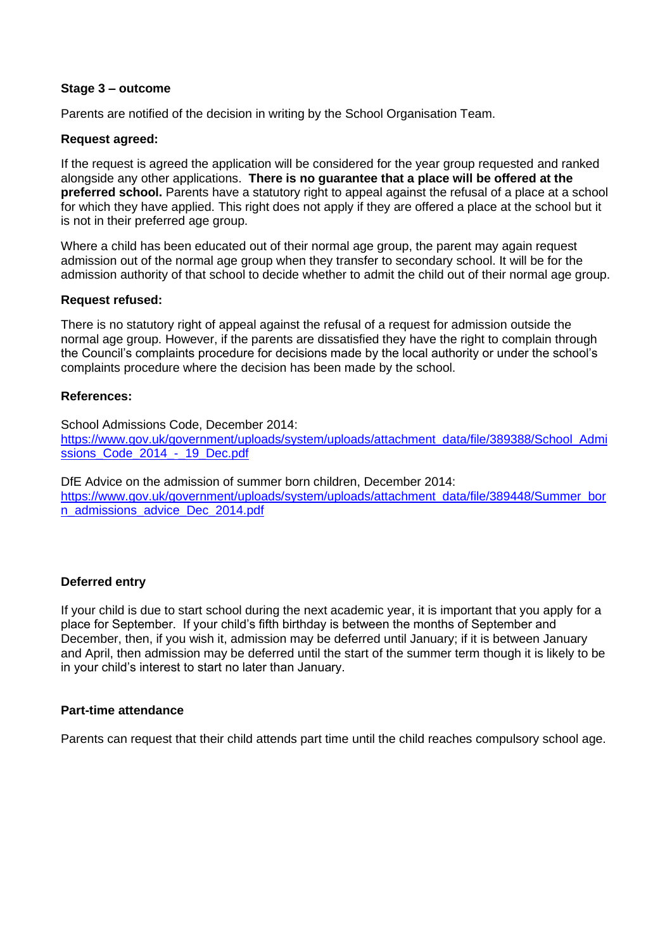### **Stage 3 – outcome**

Parents are notified of the decision in writing by the School Organisation Team.

## **Request agreed:**

If the request is agreed the application will be considered for the year group requested and ranked alongside any other applications. **There is no guarantee that a place will be offered at the preferred school.** Parents have a statutory right to appeal against the refusal of a place at a school for which they have applied. This right does not apply if they are offered a place at the school but it is not in their preferred age group.

Where a child has been educated out of their normal age group, the parent may again request admission out of the normal age group when they transfer to secondary school. It will be for the admission authority of that school to decide whether to admit the child out of their normal age group.

### **Request refused:**

There is no statutory right of appeal against the refusal of a request for admission outside the normal age group. However, if the parents are dissatisfied they have the right to complain through the Council's complaints procedure for decisions made by the local authority or under the school's complaints procedure where the decision has been made by the school.

### **References:**

School Admissions Code, December 2014: [https://www.gov.uk/government/uploads/system/uploads/attachment\\_data/file/389388/School\\_Admi](https://www.gov.uk/government/uploads/system/uploads/attachment_data/file/389388/School_Admissions_Code_2014_-_19_Dec.pdf) [ssions\\_Code\\_2014\\_-\\_19\\_Dec.pdf](https://www.gov.uk/government/uploads/system/uploads/attachment_data/file/389388/School_Admissions_Code_2014_-_19_Dec.pdf)

DfE Advice on the admission of summer born children, December 2014: [https://www.gov.uk/government/uploads/system/uploads/attachment\\_data/file/389448/Summer\\_bor](https://www.gov.uk/government/uploads/system/uploads/attachment_data/file/389448/Summer_born_admissions_advice_Dec_2014.pdf) [n\\_admissions\\_advice\\_Dec\\_2014.pdf](https://www.gov.uk/government/uploads/system/uploads/attachment_data/file/389448/Summer_born_admissions_advice_Dec_2014.pdf)

# **Deferred entry**

If your child is due to start school during the next academic year, it is important that you apply for a place for September. If your child's fifth birthday is between the months of September and December, then, if you wish it, admission may be deferred until January; if it is between January and April, then admission may be deferred until the start of the summer term though it is likely to be in your child's interest to start no later than January.

# **Part-time attendance**

Parents can request that their child attends part time until the child reaches compulsory school age.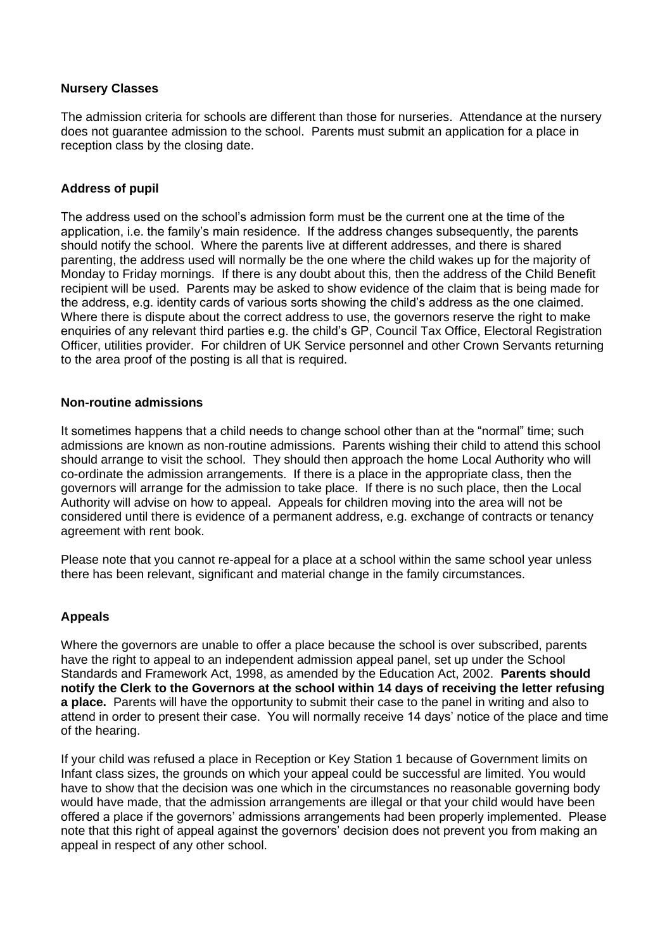### **Nursery Classes**

The admission criteria for schools are different than those for nurseries. Attendance at the nursery does not guarantee admission to the school. Parents must submit an application for a place in reception class by the closing date.

# **Address of pupil**

The address used on the school's admission form must be the current one at the time of the application, i.e. the family's main residence. If the address changes subsequently, the parents should notify the school. Where the parents live at different addresses, and there is shared parenting, the address used will normally be the one where the child wakes up for the majority of Monday to Friday mornings. If there is any doubt about this, then the address of the Child Benefit recipient will be used. Parents may be asked to show evidence of the claim that is being made for the address, e.g. identity cards of various sorts showing the child's address as the one claimed. Where there is dispute about the correct address to use, the governors reserve the right to make enquiries of any relevant third parties e.g. the child's GP, Council Tax Office, Electoral Registration Officer, utilities provider. For children of UK Service personnel and other Crown Servants returning to the area proof of the posting is all that is required.

### **Non-routine admissions**

It sometimes happens that a child needs to change school other than at the "normal" time; such admissions are known as non-routine admissions. Parents wishing their child to attend this school should arrange to visit the school. They should then approach the home Local Authority who will co-ordinate the admission arrangements. If there is a place in the appropriate class, then the governors will arrange for the admission to take place. If there is no such place, then the Local Authority will advise on how to appeal. Appeals for children moving into the area will not be considered until there is evidence of a permanent address, e.g. exchange of contracts or tenancy agreement with rent book.

Please note that you cannot re-appeal for a place at a school within the same school year unless there has been relevant, significant and material change in the family circumstances.

# **Appeals**

Where the governors are unable to offer a place because the school is over subscribed, parents have the right to appeal to an independent admission appeal panel, set up under the School Standards and Framework Act, 1998, as amended by the Education Act, 2002. **Parents should notify the Clerk to the Governors at the school within 14 days of receiving the letter refusing a place.** Parents will have the opportunity to submit their case to the panel in writing and also to attend in order to present their case. You will normally receive 14 days' notice of the place and time of the hearing.

If your child was refused a place in Reception or Key Station 1 because of Government limits on Infant class sizes, the grounds on which your appeal could be successful are limited. You would have to show that the decision was one which in the circumstances no reasonable governing body would have made, that the admission arrangements are illegal or that your child would have been offered a place if the governors' admissions arrangements had been properly implemented. Please note that this right of appeal against the governors' decision does not prevent you from making an appeal in respect of any other school.